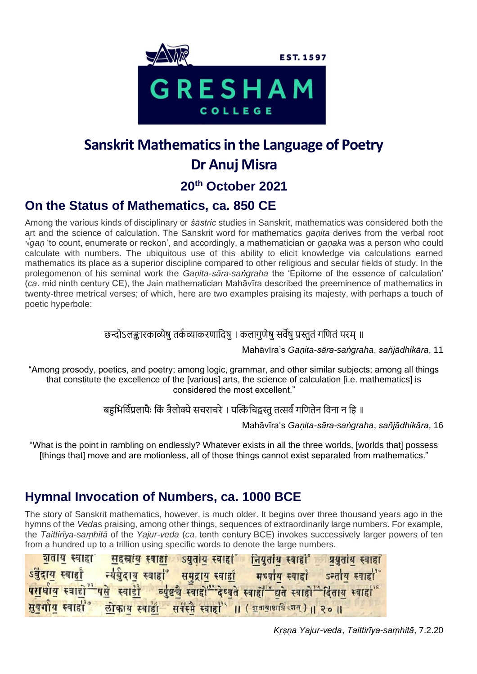

# **Sanskrit Mathematics in the Language of Poetry Dr Anuj Misra 20th October 2021**

#### **On the Status of Mathematics, ca. 850 CE**

Among the various kinds of disciplinary or *śāstric* studies in Sanskrit, mathematics was considered both the art and the science of calculation. The Sanskrit word for mathematics *gaṇita* derives from the verbal root √*gaṇ* 'to count, enumerate or reckon', and accordingly, a mathematician or *gaṇaka* was a person who could calculate with numbers. The ubiquitous use of this ability to elicit knowledge via calculations earned mathematics its place as a superior discipline compared to other religious and secular fields of study. In the prolegomenon of his seminal work the *Gaṇita-sāra-saṅgraha* the 'Epitome of the essence of calculation' (*ca*. mid ninth century CE), the Jain mathematician Mahāvīra described the preeminence of mathematics in twenty-three metrical verses; of which, here are two examples praising its majesty, with perhaps a touch of poetic hyperbole:

#### छन्दोऽलङ्कारकाव्येषु तर्कव्याकरणादिषु । कलागुणेषु सर्वेषु प्रस्तुतं गणितं परम् ॥

Mahāvīra's *Gaṇita-sāra-saṅgraha*, *sañjādhikāra*, 11

"Among prosody, poetics, and poetry; among logic, grammar, and other similar subjects; among all things that constitute the excellence of the [various] arts, the science of calculation [i.e. mathematics] is considered the most excellent."

बहभिर्विप्रलापैः किं त्रैलोक्ये सचराचरे । यत्किंचिद्वस्त तत्सर्वं गणितेन विना न हि ॥

Mahāvīra's *Gaṇita-sāra-saṅgraha*, *sañjādhikāra*, 16

"What is the point in rambling on endlessly? Whatever exists in all the three worlds, [worlds that] possess [things that] move and are motionless, all of those things cannot exist separated from mathematics."

## **Hymnal Invocation of Numbers, ca. 1000 BCE**

The story of Sanskrit mathematics, however, is much older. It begins over three thousand years ago in the hymns of the *Veda*s praising, among other things, sequences of extraordinarily large numbers. For example, the *Taittirīya-saṃhitā* of the *Yajur-veda* (*ca*. tenth century BCE) invokes successively larger powers of ten from a hundred up to a trillion using specific words to denote the large numbers.

| <u> शताय</u> स्वाहां <u>सहस्राय</u> स्वा <u>हां</u> ऽयुताय स्वाहां | नियुताय स्वाहा प्रयुताय स्वाहा                                                                 |
|--------------------------------------------------------------------|------------------------------------------------------------------------------------------------|
|                                                                    | ऽर्वुदाय स्वार्द्या न्यर्वुदाय स्वाहा समुद्राय स्वार्द्या मध्याय स्वाहा ऽन्ताय स्वाहा          |
|                                                                    | परार्धाय स्वाद्यों पसे स्वार्डों व्युष्टचे स्वाहों देष्युते स्वाहों बने स्वाहों दितायु स्वाहां |
|                                                                    | सुवर्गाय स्वाहा । लोकाय स्वार्हा सर्वस्मै स्वाहा ।। (शुवायाधात्रि शत्) ।। २० ॥                 |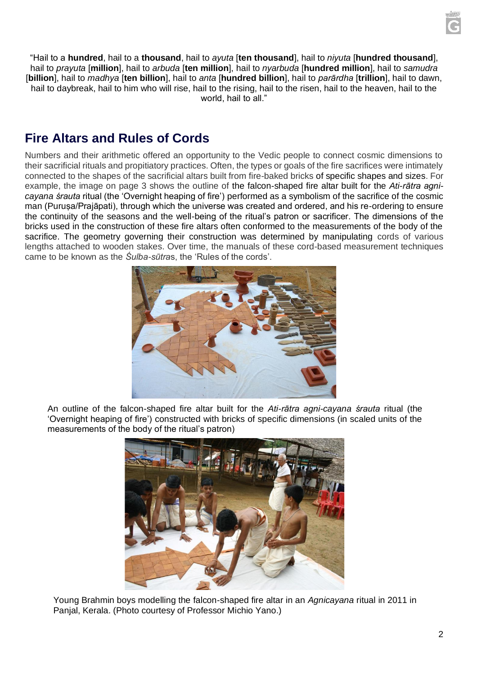

"Hail to a **hundred**, hail to a **thousand**, hail to *ayuta* [**ten thousand**], hail to *niyuta* [**hundred thousand**], hail to *prayuta* [**million**], hail to *arbuda* [**ten million**], hail to *nyarbuda* [**hundred million**], hail to *samudra* [**billion**], hail to *madhya* [**ten billion**], hail to *anta* [**hundred billion**], hail to *parārdha* [**trillion**], hail to dawn, hail to daybreak, hail to him who will rise, hail to the rising, hail to the risen, hail to the heaven, hail to the world, hail to all."

### **Fire Altars and Rules of Cords**

Numbers and their arithmetic offered an opportunity to the Vedic people to connect cosmic dimensions to their sacrificial rituals and propitiatory practices. Often, the types or goals of the fire sacrifices were intimately connected to the shapes of the sacrificial altars built from fire-baked bricks of specific shapes and sizes. For example, the image on page 3 shows the outline of the falcon-shaped fire altar built for the *Ati-rātra agnicayana śrauta* ritual (the 'Overnight heaping of fire') performed as a symbolism of the sacrifice of the cosmic man (Purusa/Prajāpati), through which the universe was created and ordered, and his re-ordering to ensure the continuity of the seasons and the well-being of the ritual's patron or sacrificer. The dimensions of the bricks used in the construction of these fire altars often conformed to the measurements of the body of the sacrifice. The geometry governing their construction was determined by manipulating cords of various lengths attached to wooden stakes. Over time, the manuals of these cord-based measurement techniques came to be known as the *Śulba-sūtra*s, the 'Rules of the cords'.



An outline of the falcon-shaped fire altar built for the *Ati-rātra agni-cayana śrauta* ritual (the 'Overnight heaping of fire') constructed with bricks of specific dimensions (in scaled units of the measurements of the body of the ritual's patron)



Young Brahmin boys modelling the falcon-shaped fire altar in an *Agnicayana* ritual in 2011 in Panjal, Kerala. (Photo courtesy of Professor Michio Yano.)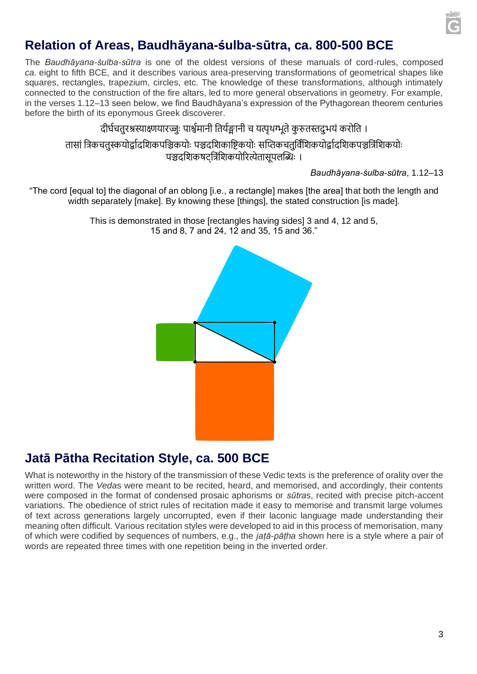

#### **Relation of Areas, Baudhāyana-śulba-sūtra, ca. 800-500 BCE**

The *Baudhāyana-śulba-sũtra* is one of the oldest versions of these manuals of cord-rules, composed *ca.* eight to fifth BCE, and it describes various area-preserving transformations of geometrical shapes like squares, rectangles, trapezium, circles, etc. The knowledge of these transformations, although intimately connected to the construction of the fire altars, led to more general observations in geometry. For example, in the verses 1.12–13 seen below, we find Baudhāyana's expression of the Pythagorean theorem centuries before the birth of its eponymous Greek discoverer.

#### दीर्घचतुरश्रस्याक्ष्णयारज्जुः पार्श्वमानी तिर्यङ्गानी च यत्पृथग्भूते कुरुतस्तद्भयं करोति ।

तासां त्रिकचतुस्कयोर्द्वादशिकपञ्चिकयोः पञ्चदशिकाष्टिकयोः सप्तिकचतुर्विशिकयोर्द्वादशिकपञ्चत्रिंशिकयोः पञ्चदशिकषटत्रिंशिकयोरित्येतासपलब्धिः ।

*Baudhāyana-śulba-sūtra*, 1.12–13

"The cord [equal to] the diagonal of an oblong [i.e., a rectangle] makes [the area] that both the length and width separately [make]. By knowing these [things], the stated construction [is made].

> This is demonstrated in those [rectangles having sides] 3 and 4, 12 and 5, 15 and 8, 7 and 24, 12 and 35, 15 and 36."



#### **Jatā Pātha Recitation Style, ca. 500 BCE**

What is noteworthy in the history of the transmission of these Vedic texts is the preference of orality over the written word. The *Veda*s were meant to be recited, heard, and memorised, and accordingly, their contents were composed in the format of condensed prosaic aphorisms or *sūtra*s, recited with precise pitch-accent variations. The obedience of strict rules of recitation made it easy to memorise and transmit large volumes of text across generations largely uncorrupted, even if their laconic language made understanding their meaning often difficult. Various recitation styles were developed to aid in this process of memorisation, many of which were codified by sequences of numbers, e.g., the *jaṭā-pāṭha* shown here is a style where a pair of words are repeated three times with one repetition being in the inverted order.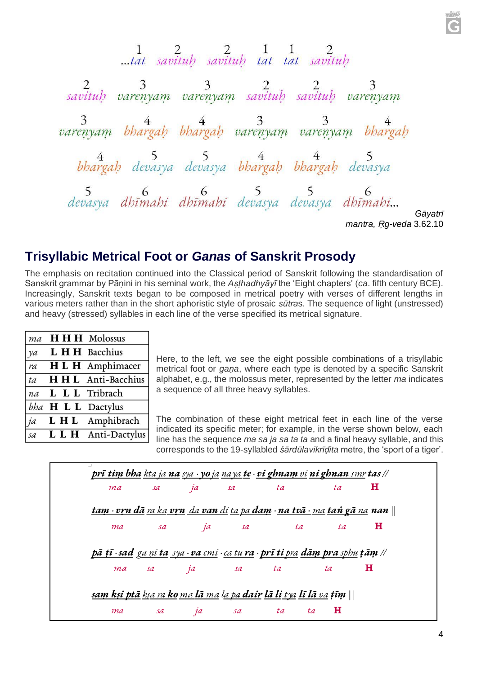1 2<br>...tat savituh savituh tat tat savituh 2 3 3 2 2 3<br>savituh varenyam varenyam savituh savituh varenyam 3 varenyam bhargah bhargah varenyam varenyam bhargah 4 5<br>bhargah devasya devasya bhargah bhargah devasya 5 6 6 5 5 6<br>devasya dhīmahi dhīmahi devasya devasya dhīmahi... *Gāyatrī mantra, Ṛg-veda* 3.62.10

#### **Trisyllabic Metrical Foot or** *Ganas* **of Sanskrit Prosody**

The emphasis on recitation continued into the Classical period of Sanskrit following the standardisation of Sanskrit grammar by Pāṇini in his seminal work, the *Aṣṭhadhyāyī* the 'Eight chapters' (*ca*. fifth century BCE). Increasingly, Sanskrit texts began to be composed in metrical poetry with verses of different lengths in various meters rather than in the short aphoristic style of prosaic *sūtra*s. The sequence of light (unstressed) and heavy (stressed) syllables in each line of the verse specified its metrical signature.

| ma | HH H Molossus            |
|----|--------------------------|
| ya | L H H Bacchius           |
| ra | H L H Amphimacer         |
| ta | <b>HHL</b> Anti-Bacchius |
| na | L L L Tribrach           |
|    | bha H L L Dactylus       |
| ja | L H L Amphibrach         |
|    | sa L L H Anti-Dactylus   |
|    |                          |

Here, to the left, we see the eight possible combinations of a trisyllabic metrical foot or *gaṇa*, where each type is denoted by a specific Sanskrit alphabet, e.g., the molossus meter, represented by the letter *ma* indicates a sequence of all three heavy syllables.

The combination of these eight metrical feet in each line of the verse indicated its specific meter; for example, in the verse shown below, each line has the sequence *ma sa ja sa ta ta* and a final heavy syllable, and this corresponds to the 19-syllabled *śārdūlavikrīḍita* metre, the 'sport of a tiger'.

| ma | sa ja sa |                                                                                              | ta | ta | н |
|----|----------|----------------------------------------------------------------------------------------------|----|----|---|
|    |          | <u>tam · vrn dā ra ka vrn da van di ta pa dam · na tvā · ma taṅ gā na</u> nan                |    |    |   |
| ma |          | sa ja sa ta                                                                                  |    | ta | н |
|    |          | <u>pā tī∙sad ga ni ta_sya~va cmi~ca tu ra</u> ~ <b>prī ti</b> pra <b>dām pra</b> sphu ṭāṃ // |    |    |   |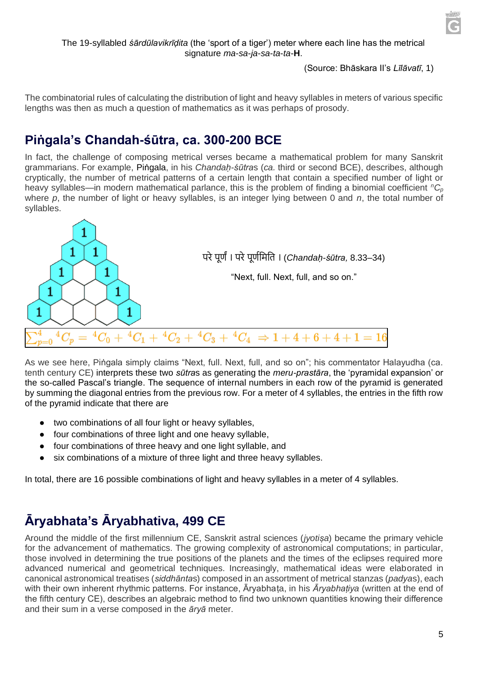

#### (Source: Bhāskara II's *Līlāvatī*, 1)

The combinatorial rules of calculating the distribution of light and heavy syllables in meters of various specific lengths was then as much a question of mathematics as it was perhaps of prosody.

### **Piṅgala's Chandah-śūtra, ca. 300-200 BCE**

In fact, the challenge of composing metrical verses became a mathematical problem for many Sanskrit grammarians. For example, Piṅgala, in his *Chandaḥ-śūtra*s (*ca.* third or second BCE), describes, although cryptically, the number of metrical patterns of a certain length that contain a specified number of light or heavy syllables—in modern mathematical parlance, this is the problem of finding a binomial coefficient *<sup>n</sup>C<sup>p</sup>* where *p*, the number of light or heavy syllables, is an integer lying between 0 and *n*, the total number of syllables.



As we see here, Piṅgala simply claims "Next, full. Next, full, and so on"; his commentator Halayudha (ca. tenth century CE) interprets these two *sūtra*s as generating the *meru-prastāra*, the 'pyramidal expansion' or the so-called Pascal's triangle. The sequence of internal numbers in each row of the pyramid is generated by summing the diagonal entries from the previous row. For a meter of 4 syllables, the entries in the fifth row of the pyramid indicate that there are

- two combinations of all four light or heavy syllables,
- four combinations of three light and one heavy syllable,
- four combinations of three heavy and one light syllable, and
- six combinations of a mixture of three light and three heavy syllables.

In total, there are 16 possible combinations of light and heavy syllables in a meter of 4 syllables.

# **Āryabhata's Āryabhativa, 499 CE**

Around the middle of the first millennium CE, Sanskrit astral sciences (*jyotiṣa*) became the primary vehicle for the advancement of mathematics. The growing complexity of astronomical computations; in particular, those involved in determining the true positions of the planets and the times of the eclipses required more advanced numerical and geometrical techniques. Increasingly, mathematical ideas were elaborated in canonical astronomical treatises (*siddhānta*s) composed in an assortment of metrical stanzas (*padya*s), each with their own inherent rhythmic patterns. For instance, Āryabhaṭa, in his *Āryabhaṭiya* (written at the end of the fifth century CE), describes an algebraic method to find two unknown quantities knowing their difference and their sum in a verse composed in the *āryā* meter.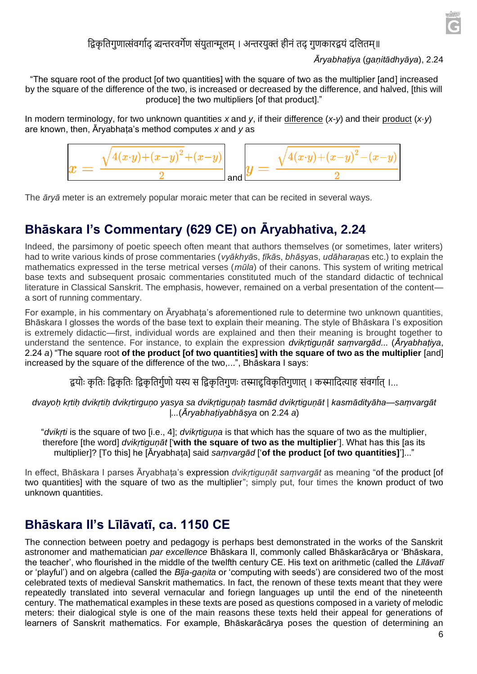

#### द्विकृतिगुणात्संवर्गादु व्यन्तरवर्गेण संयुतान्मूलम् । अन्तरयुक्तं हीनं तदु गुणकारद्वयं दलितम्॥

#### *Āryabhaṭiya* (*gaṇitādhyāya*), 2.24

"The square root of the product [of two quantities] with the square of two as the multiplier [and] increased by the square of the difference of the two, is increased or decreased by the difference, and halved, [this will produce] the two multipliers [of that product]."

In modern terminology, for two unknown quantities *x* and *y*, if their difference (*x-y*) and their product (*x·y*) are known, then, Āryabhaṭa's method computes *x* and *y* as



The *āryā* meter is an extremely popular moraic meter that can be recited in several ways.

## **Bhāskara I's Commentary (629 CE) on Āryabhativa, 2.24**

Indeed, the parsimony of poetic speech often meant that authors themselves (or sometimes, later writers) had to write various kinds of prose commentaries (*vyākhyā*s, *ṭīkā*s, *bhāṣya*s, *udāharaṇa*s etc.) to explain the mathematics expressed in the terse metrical verses (*mūla*) of their canons. This system of writing metrical base texts and subsequent prosaic commentaries constituted much of the standard didactic of technical literature in Classical Sanskrit. The emphasis, however, remained on a verbal presentation of the content a sort of running commentary.

For example, in his commentary on Āryabhaṭa's aforementioned rule to determine two unknown quantities, Bhāskara I glosses the words of the base text to explain their meaning. The style of Bhāskara I's exposition is extremely didactic—first, individual words are explained and then their meaning is brought together to understand the sentence. For instance, to explain the expression *dvikṛtiguṇāt saṃvargād...* (*Āryabhaṭiya*, 2.24 *a*) "The square root **of the product [of two quantities] with the square of two as the multiplier** [and] increased by the square of the difference of the two,...", Bhāskara I says:

द्वयोः कृतिः द्विकृतिः द्विकृतिर्गुणो यस्य स द्विकृतिगुणः तस्माद्दविकृतिगुणात् । कस्मादित्याह संवर्गात् ।...

*dvayoḥ kṛtiḥ dvikṛtiḥ dvikṛtirguṇo yasya sa dvikṛtiguṇaḥ tasmād dvikṛtiguṇāt | kasmādityāha*—*saṃvargāt |...*(*Āryabhaṭiyabhāṣya* on 2.24 *a*)

"*dvikṛti* is the square of two [i.e., 4]; *dvikṛtiguṇa* is that which has the square of two as the multiplier, therefore [the word] *dvikṛtiguṇāt* ['**with the square of two as the multiplier**']. What has this [as its multiplier]? [To this] he [Āryabhaṭa] said *saṃvargād* ['**of the product [of two quantities]**']..."

In effect, Bhāskara I parses Āryabhaṭa's expression *dvikṛtiguṇāt saṃvargāt* as meaning "of the product [of two quantities] with the square of two as the multiplier"; simply put, four times the known product of two unknown quantities.

#### **Bhāskara II's Līlāvatī, ca. 1150 CE**

The connection between poetry and pedagogy is perhaps best demonstrated in the works of the Sanskrit astronomer and mathematician *par excellence* Bhāskara II, commonly called Bhāskarācārya or 'Bhāskara, the teacher', who flourished in the middle of the twelfth century CE. His text on arithmetic (called the *Līlāvatī* or 'playful') and on algebra (called the *Bīja-gaṇita* or 'computing with seeds') are considered two of the most celebrated texts of medieval Sanskrit mathematics. In fact, the renown of these texts meant that they were repeatedly translated into several vernacular and foriegn languages up until the end of the nineteenth century. The mathematical examples in these texts are posed as questions composed in a variety of melodic meters: their dialogical style is one of the main reasons these texts held their appeal for generations of learners of Sanskrit mathematics. For example, Bhāskarācārya poses the question of determining an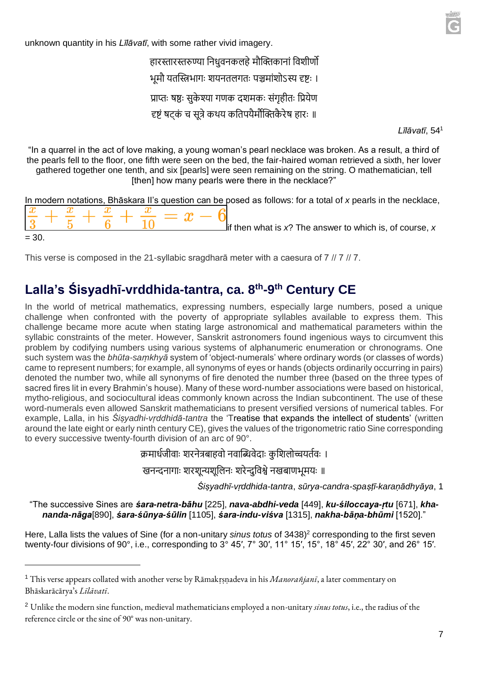unknown quantity in his *Līlāvatī*, with some rather vivid imagery.

हारस्तारस्तरुण्या निधुवनकलहे मौक्तिकानां विशीर्णो भमौ यतस्त्रिभागः शयनतलगतः पञ्चमांशोऽस्य दृष्टः । प्राप्तः षष्ठः सुकेश्या गणक दशमकः संगृहीतः प्रियेण दृष्टं षटकं च सूत्रे कथय कतिपयैर्मौक्तिकैरेष हारः ॥

*Līlāvatī*, 54<sup>1</sup>

"In a quarrel in the act of love making, a young woman's pearl necklace was broken. As a result, a third of the pearls fell to the floor, one fifth were seen on the bed, the fair-haired woman retrieved a sixth, her lover gathered together one tenth, and six [pearls] were seen remaining on the string. O mathematician, tell [then] how many pearls were there in the necklace?"

|         |  |  |  | In modern notations, Bhāskara II's question can be posed as follows: for a total of x pearls in the necklace, |  |  |  |  |  |                                                                |  |
|---------|--|--|--|---------------------------------------------------------------------------------------------------------------|--|--|--|--|--|----------------------------------------------------------------|--|
|         |  |  |  | $\frac{x}{3} + \frac{x}{5} + \frac{x}{6} + \frac{x}{10} = x - 6$                                              |  |  |  |  |  |                                                                |  |
|         |  |  |  |                                                                                                               |  |  |  |  |  | $\Box$ if then what is x? The answer to which is, of course, x |  |
| $= 30.$ |  |  |  |                                                                                                               |  |  |  |  |  |                                                                |  |

This verse is composed in the 21-syllabic sragdharā meter with a caesura of 7 // 7 // 7.

### **Lalla's Śisyadhī-vrddhida-tantra, ca. 8th-9 th Century CE**

In the world of metrical mathematics, expressing numbers, especially large numbers, posed a unique challenge when confronted with the poverty of appropriate syllables available to express them. This challenge became more acute when stating large astronomical and mathematical parameters within the syllabic constraints of the meter. However, Sanskrit astronomers found ingenious ways to circumvent this problem by codifying numbers using various systems of alphanumeric enumeration or chronograms. One such system was the *bhūta-saṃkhyā* system of 'object-numerals' where ordinary words (or classes of words) came to represent numbers; for example, all synonyms of eyes or hands (objects ordinarily occurring in pairs) denoted the number two, while all synonyms of fire denoted the number three (based on the three types of sacred fires lit in every Brahmin's house). Many of these word-number associations were based on historical, mytho-religious, and sociocultural ideas commonly known across the Indian subcontinent. The use of these word-numerals even allowed Sanskrit mathematicians to present versified versions of numerical tables. For example, Lalla, in his *Śiṣyadhi-vṛddhidā-tantra* the 'Treatise that expands the intellect of students' (written around the late eight or early ninth century CE), gives the values of the trigonometric ratio Sine corresponding to every successive twenty-fourth division of an arc of 90°.

क्रमार्धजीवाः शरनेत्रबाहवो नवाब्धिवेदाः कृशिलोच्चयर्तवः ।

खनन्दनागाः शरशुन्यशुलिनः शरेन्दुविश्वे नखबाणभूमयः ॥

*Śiṣyadhī-vṛddhida-tantra*, *sūrya-candra-spaṣṭī-karaṇādhyāya*, 1

"The successive Sines are *śara-netra-bāhu* [225], *nava-abdhi-veda* [449], *ku-śiloccaya-ṛtu* [671], *khananda-nāga*[890], *śara-śūnya-śūlin* [1105], *śara-indu-viśva* [1315], *nakha-bāṇa-bhūmi* [1520]."

Here, Lalla lists the values of Sine (for a non-unitary *sinus totus* of 3438)<sup>2</sup> corresponding to the first seven twenty-four divisions of 90°, i.e., corresponding to 3° 45′, 7° 30′, 11° 15′, 15°, 18° 45′, 22° 30′, and 26° 15′.

<sup>1</sup> This verse appears collated with another verse by Rāmakṛṣṇadeva in his *Manorañjanī*, a later commentary on Bhāskarācārya's *Līlāvatī*.

<sup>2</sup> Unlike the modern sine function, medieval mathematicians employed a non-unitary *sinus totus*, i.e., the radius of the reference circle or the sine of 90° was non-unitary.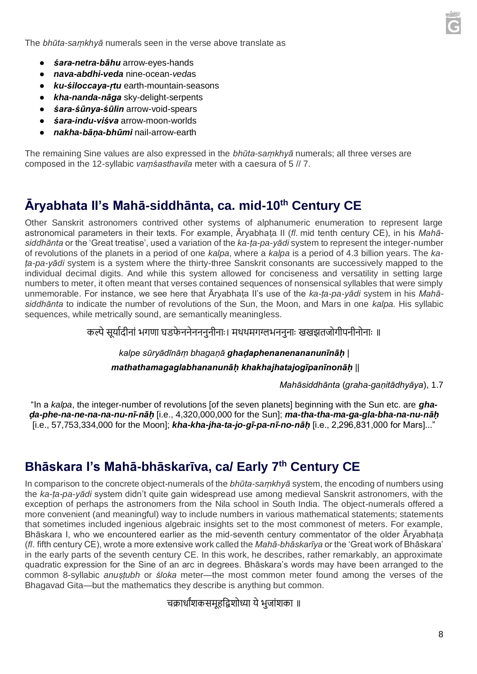The *bhūta-saṃkhyā* numerals seen in the verse above translate as

- *śara-netra-bāhu* arrow-eyes-hands
- *nava-abdhi-veda* nine-ocean-*veda*s
- *ku-śiloccaya-ṛtu* earth-mountain-seasons
- *kha-nanda-nāga* sky-delight-serpents
- *śara-śūnya-śūlin* arrow-void-spears
- *śara-indu-viśva* arrow-moon-worlds
- *nakha-bāṇa-bhūmi* nail-arrow-earth

The remaining Sine values are also expressed in the *bhūta-saṃkhyā* numerals; all three verses are composed in the 12-syllabic *vaṃśasthavila* meter with a caesura of 5 // 7.

### **Āryabhata II's Mahā-siddhānta, ca. mid-10th Century CE**

Other Sanskrit astronomers contrived other systems of alphanumeric enumeration to represent large astronomical parameters in their texts. For example, Āryabhaṭa II (*fl*. mid tenth century CE), in his *Mahāsiddhānta* or the 'Great treatise', used a variation of the *ka-ṭa-pa-yādi* system to represent the integer-number of revolutions of the planets in a period of one *kalpa*, where a *kalpa* is a period of 4.3 billion years. The *kaṭa-pa-yādi* system is a system where the thirty-three Sanskrit consonants are successively mapped to the individual decimal digits. And while this system allowed for conciseness and versatility in setting large numbers to meter, it often meant that verses contained sequences of nonsensical syllables that were simply unmemorable. For instance, we see here that Āryabhaṭa II's use of the *ka-ṭa-pa-yādi* system in his *Mahāsiddhānta* to indicate the number of revolutions of the Sun, the Moon, and Mars in one *kalpa.* His syllabic sequences, while metrically sound, are semantically meaningless.

कल्पे सूर्यादीनां भगणा घडफेननेनननुनीनाः। मथथमगग्लभननुनाः खखझतजोगीपनीनोनाः ॥

#### *kalpe sūryādīnāṃ bhagaṇā ghaḍaphenanenananunīnāḥ* | *mathathamagaglabhananunāḥ khakhajhatajogīpanīnonāḥ* ||

*Mahāsiddhānta* (*graha-gaṇitādhyāya*), 1.7

"In a *kalpa*, the integer-number of revolutions [of the seven planets] beginning with the Sun etc. are *ghaḍa-phe-na-ne-na-na-nu-nī-nāḥ* [i.e., 4,320,000,000 for the Sun]; *ma-tha-tha-ma-ga-gla-bha-na-nu-nāḥ* [i.e., 57,753,334,000 for the Moon]; *kha-kha-jha-ta-jo-gī-pa-nī-no-nāḥ* [i.e., 2,296,831,000 for Mars]..."

## **Bhāskara I's Mahā-bhāskarīva, ca/ Early 7th Century CE**

In comparison to the concrete object-numerals of the *bhūta-saṃkhyā* system, the encoding of numbers using the *ka-ṭa-pa-yādi* system didn't quite gain widespread use among medieval Sanskrit astronomers, with the exception of perhaps the astronomers from the Nila school in South India. The object-numerals offered a more convenient (and meaningful) way to include numbers in various mathematical statements; statements that sometimes included ingenious algebraic insights set to the most commonest of meters. For example, Bhāskara I, who we encountered earlier as the mid-seventh century commentator of the older Āryabhaṭa (*fl*. fifth century CE), wrote a more extensive work called the *Mahā-bhāskarīya* or the 'Great work of Bhāskara' in the early parts of the seventh century CE. In this work, he describes, rather remarkably, an approximate quadratic expression for the Sine of an arc in degrees. Bhāskara's words may have been arranged to the common 8-syllabic *anuṣṭubh* or *śloka* meter—the most common meter found among the verses of the Bhagavad Gita—but the mathematics they describe is anything but common.

चक्रार्धांशकसमुहद्विशोध्या ये भजांशका ॥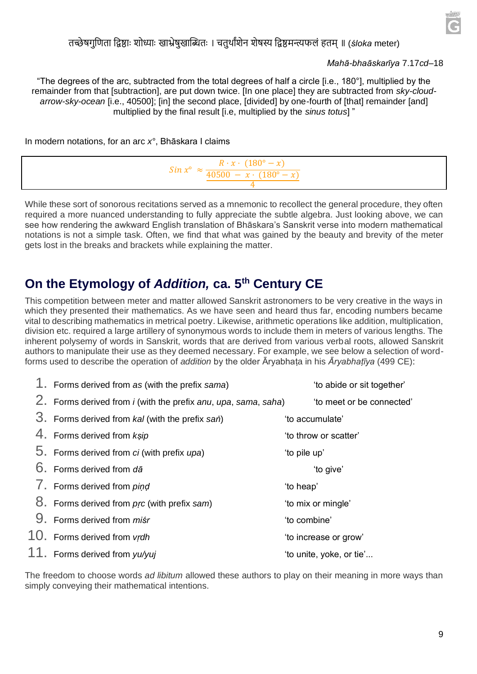

#### तच्छेषगुणिता द्विष्ठाः शोध्याः खाभ्रेषुखाब्धितः । चतुर्थांशेन शेषस्य द्विष्ठमन्त्यफलं हतम् ॥ (*śloka* meter)

#### *Mahā-bhaāskarīya* 7.17*cd*–18

"The degrees of the arc, subtracted from the total degrees of half a circle [i.e., 180°], multiplied by the remainder from that [subtraction], are put down twice. [In one place] they are subtracted from *sky-cloudarrow-sky-ocean* [i.e., 40500]; [in] the second place, [divided] by one-fourth of [that] remainder [and] multiplied by the final result [i.e, multiplied by the *sinus totus*] "

In modern notations, for an arc *x°*, Bhāskara I claims



While these sort of sonorous recitations served as a mnemonic to recollect the general procedure, they often required a more nuanced understanding to fully appreciate the subtle algebra. Just looking above, we can see how rendering the awkward English translation of Bhāskara's Sanskrit verse into modern mathematical notations is not a simple task. Often, we find that what was gained by the beauty and brevity of the meter gets lost in the breaks and brackets while explaining the matter.

#### **On the Etymology of** *Addition,* **ca. 5th Century CE**

This competition between meter and matter allowed Sanskrit astronomers to be very creative in the ways in which they presented their mathematics. As we have seen and heard thus far, encoding numbers became vital to describing mathematics in metrical poetry. Likewise, arithmetic operations like addition, multiplication, division etc. required a large artillery of synonymous words to include them in meters of various lengths. The inherent polysemy of words in Sanskrit, words that are derived from various verbal roots, allowed Sanskrit authors to manipulate their use as they deemed necessary. For example, we see below a selection of wordforms used to describe the operation of *addition* by the older  $\bar{A}$ ryabhata in his  $\bar{A}$ ryabhatīya (499 CE):

| 1. Forms derived from as (with the prefix sama)                       |              | 'to abide or sit together' |
|-----------------------------------------------------------------------|--------------|----------------------------|
| 2. Forms derived from <i>i</i> (with the prefix anu, upa, sama, saha) |              | 'to meet or be connected'  |
| 3. Forms derived from kal (with the prefix san)                       |              | 'to accumulate'            |
| 4. Forms derived from ksip                                            |              | 'to throw or scatter'      |
| $5.$ Forms derived from <i>ci</i> (with prefix <i>upa</i> )           | 'to pile up' |                            |
| $6.$ Forms derived from $d\bar{a}$                                    |              | 'to give'                  |
| f. Forms derived from pind                                            | 'to heap'    |                            |
| 8. Forms derived from prc (with prefix sam)                           |              | 'to mix or mingle'         |
| 9. Forms derived from <i>misr</i>                                     | 'to combine' |                            |
| 10. Forms derived from vrdh                                           |              | 'to increase or grow'      |
| 11. Forms derived from yu/yuj                                         |              | 'to unite, yoke, or tie'   |

The freedom to choose words *ad libitum* allowed these authors to play on their meaning in more ways than simply conveying their mathematical intentions.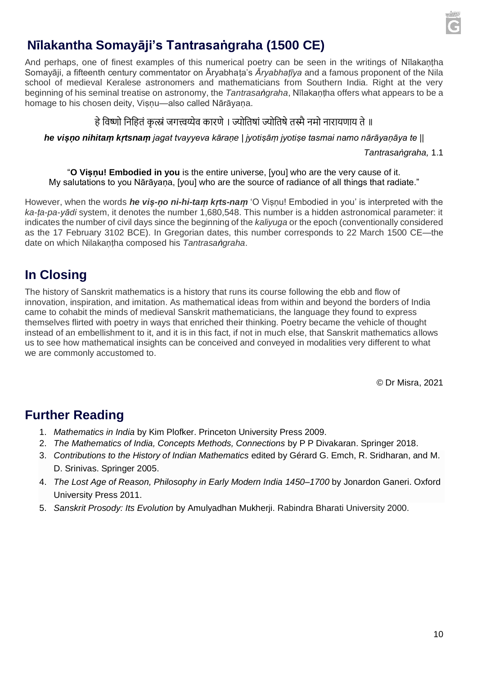

# **Nīlakantha Somayāji's Tantrasaṅgraha (1500 CE)**

And perhaps, one of finest examples of this numerical poetry can be seen in the writings of Nīlakaṇṭha Somayāji, a fifteenth century commentator on Āryabhaṭa's *Āryabhaṭīya* and a famous proponent of the Nila school of medieval Keralese astronomers and mathematicians from Southern India. Right at the very beginning of his seminal treatise on astronomy, the *Tantrasaṅgraha*, Nīlakaṇṭha offers what appears to be a homage to his chosen deity, Visnu—also called Nārāyana.

#### हे विष्णो निहितं कृत्स्नं जगत्त्वय्येव कारणे । ज्योतिषां ज्योतिषे तस्मै नमो नारायणाय ते ॥

*he viṣṇo nihitaṃ kṛtsnaṃ jagat tvayyeva kāraṇe | jyotiṣāṃ jyotiṣe tasmai namo nārāyaṇāya te ||*

*Tantrasaṅgraha,* 1.1

"**O Viṣṇu! Embodied in you** is the entire universe, [you] who are the very cause of it. My salutations to you Nārāyaṇa, [you] who are the source of radiance of all things that radiate."

However, when the words *he viṣ-ṇo ni-hi-taṃ kṛts-naṃ* 'O Viṣṇu! Embodied in you' is interpreted with the *ka-ṭa-pa-yādi* system, it denotes the number 1,680,548. This number is a hidden astronomical parameter: it indicates the number of civil days since the beginning of the *kaliyuga* or the epoch (conventionally considered as the 17 February 3102 BCE). In Gregorian dates, this number corresponds to 22 March 1500 CE—the date on which Nilakaṇṭha composed his *Tantrasaṅgraha*.

#### **In Closing**

The history of Sanskrit mathematics is a history that runs its course following the ebb and flow of innovation, inspiration, and imitation. As mathematical ideas from within and beyond the borders of India came to cohabit the minds of medieval Sanskrit mathematicians, the language they found to express themselves flirted with poetry in ways that enriched their thinking. Poetry became the vehicle of thought instead of an embellishment to it, and it is in this fact, if not in much else, that Sanskrit mathematics allows us to see how mathematical insights can be conceived and conveyed in modalities very different to what we are commonly accustomed to.

© Dr Misra, 2021

#### **Further Reading**

- 1. *Mathematics in India* by Kim Plofker. Princeton University Press 2009.
- 2. *The Mathematics of India, Concepts Methods, Connections* by P P Divakaran. Springer 2018.
- 3. *Contributions to the History of Indian Mathematics* edited by Gérard G. Emch, R. Sridharan, and M. D. Srinivas. Springer 2005.
- 4. *The Lost Age of Reason, Philosophy in Early Modern India 1450–1700* by Jonardon Ganeri. Oxford University Press 2011.
- 5. *Sanskrit Prosody: Its Evolution* by Amulyadhan Mukherji. Rabindra Bharati University 2000.